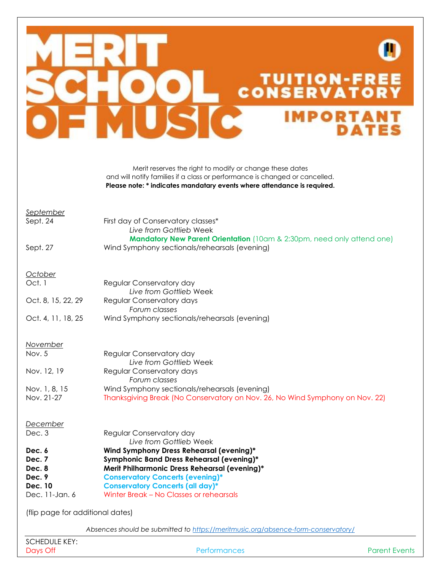

Merit reserves the right to modify or change these dates and will notify families if a class or performance is changed or cancelled. **Please note: \* indicates mandatary events where attendance is required.**

## *September*

Sept. 24 First day of Conservatory classes\* *Live from Gottlieb* Week **Mandatory New Parent Orientation** (10am & 2:30pm, need only attend one) Sept. 27 Wind Symphony sectionals/rehearsals (evening)

## *October*

| Oct. 1             | Regular Conservatory day                      |
|--------------------|-----------------------------------------------|
|                    | Live from Gottlieb Week                       |
| Oct. 8, 15, 22, 29 | Regular Conservatory days                     |
|                    | Forum classes                                 |
| Oct. 4, 11, 18, 25 | Wind Symphony sectionals/rehearsals (evening) |

## *November*

| Nov. 5        | Regular Conservatory day                                                     |
|---------------|------------------------------------------------------------------------------|
|               | Live from Gottlieb Week                                                      |
| Nov. 12, 19   | Regular Conservatory days                                                    |
|               | Forum classes                                                                |
| Nov. 1, 8, 15 | Wind Symphony sectionals/rehearsals (evening)                                |
| Nov. 21-27    | Thanksgiving Break (No Conservatory on Nov. 26, No Wind Symphony on Nov. 22) |

## *December*

| Dec. 3  | Regular Conservatory day                      |
|---------|-----------------------------------------------|
|         | Live from Gottlieb Week                       |
| Dec. 6  | Wind Symphony Dress Rehearsal (evening)*      |
| Dec. 7  | Symphonic Band Dress Rehearsal (evening)*     |
| Dec. 8  | Merit Philharmonic Dress Rehearsal (evening)* |
| Dec. 9  | <b>Conservatory Concerts (evening)*</b>       |
| Dec. 10 | <b>Conservatory Concerts (all day)*</b>       |
|         |                                               |

Dec. 11-Jan. 6 Winter Break – No Classes or rehearsals

(flip page for additional dates)

*Absences should be submitted to<https://meritmusic.org/absence-form-conservatory/>*